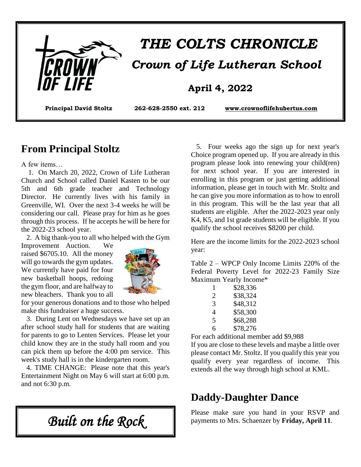

# *THE COLTS CHRONICLE Crown of Life Lutheran School*

### **April 4, 2022**

**Principal David Stoltz 262-628-2550 ext. 212 [www.crownoflifehubertus.com](http://www.crownoflifehubertus.com/)**

### **From Principal Stoltz**

A few items…

 1. On March 20, 2022, Crown of Life Lutheran Church and School called Daniel Kasten to be our 5th and 6th grade teacher and Technology Director. He currently lives with his family in Greenville, WI. Over the next 3-4 weeks he will be considering our call. Please pray for him as he goes through this process. If he accepts he will be here for the 2022-23 school year.

2. A big thank-you to all who helped with the Gym

Improvement Auction. We raised \$6705.10. All the money will go towards the gym updates. We currently have paid for four new basketball hoops, redoing the gym floor, and are halfway to new bleachers. Thank you to all



for your generous donations and to those who helped make this fundraiser a huge success.

 3. During Lent on Wednesdays we have set up an after school study hall for students that are waiting for parents to go to Lenten Services. Please let your child know they are in the study hall room and you can pick them up before the 4:00 pm service. This week's study hall is in the kindergarten room.

 4. TIME CHANGE: Please note that this year's Entertainment Night on May 6 will start at 6:00 p.m. and not 6:30 p.m.

 5. Four weeks ago the sign up for next year's Choice program opened up. If you are already in this program please look into renewing your child(ren) for next school year. If you are interested in enrolling in this program or just getting additional information, please get in touch with Mr. Stoltz and he can give you more information as to how to enroll in this program. This will be the last year that all students are eligible. After the 2022-2023 year only K4, K5, and 1st grade students will be eligible. If you qualify the school receives \$8200 per child.

Here are the income limits for the 2022-2023 school year:

Table 2 – WPCP Only Income Limits 220% of the Federal Poverty Level for 2022-23 Family Size Maximum Yearly Income\*

| 1 | \$28,336 |
|---|----------|
| 2 | \$38,324 |
| 3 | \$48,312 |
| 4 | \$58,300 |
| 5 | \$68,288 |
| 6 | \$78,276 |

For each additional member add \$9,988

If you are close to these levels and maybe a little over please contact Mr. Stoltz. If you qualify this year you qualify every year regardless of income. This extends all the way through high school at KML.

### **Daddy-Daughter Dance**

Please make sure you hand in your RSVP and payments to Mrs. Schaenzer by **Friday, April 11**.

*Built on the Rock*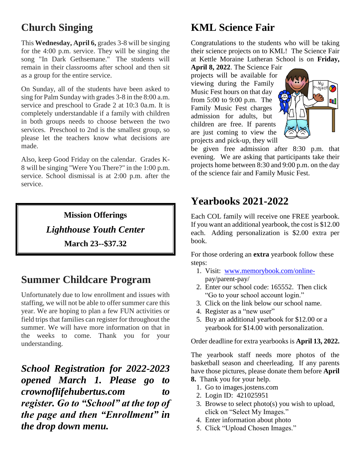# **Church Singing**

This **Wednesday, April 6,** grades 3-8 will be singing for the 4:00 p.m. service. They will be singing the song "In Dark Gethsemane." The students will remain in their classrooms after school and then sit as a group for the entire service.

On Sunday, all of the students have been asked to sing for Palm Sunday with grades 3-8 in the 8:00 a.m. service and preschool to Grade 2 at 10:3 0a.m. It is completely understandable if a family with children in both groups needs to choose between the two services. Preschool to 2nd is the smallest group, so please let the teachers know what decisions are made.

Also, keep Good Friday on the calendar. Grades K-8 will be singing "Were You There?" in the 1:00 p.m. service. School dismissal is at 2:00 p.m. after the service.

> **Mission Offerings** *Lighthouse Youth Center* **March 23--\$37.32**

### **Summer Childcare Program**

Unfortunately due to low enrollment and issues with staffing, we will not be able to offer summer care this year. We are hoping to plan a few FUN activities or field trips that families can register for throughout the summer. We will have more information on that in the weeks to come. Thank you for your understanding.

*School Registration for 2022-2023 opened March 1. Please go to crownoflifehubertus.com to register. Go to "School" at the top of the page and then "Enrollment" in the drop down menu.*

# **KML Science Fair**

Congratulations to the students who will be taking their science projects on to KML! The Science Fair at Kettle Moraine Lutheran School is on **Friday,** 

**April 8, 2022**. The Science Fair projects will be available for viewing during the Family Music Fest hours on that day from 5:00 to 9:00 p.m. The Family Music Fest charges admission for adults, but children are free. If parents are just coming to view the projects and pick-up, they will



be given free admission after 8:30 p.m. that evening. We are asking that participants take their projects home between 8:30 and 9:00 p.m. on the day of the science fair and Family Music Fest.

### **Yearbooks 2021-2022**

Each COL family will receive one FREE yearbook. If you want an additional yearbook, the cost is \$12.00 each. Adding personalization is \$2.00 extra per book.

For those ordering an **extra** yearbook follow these steps:

- 1. Visit: [www.memorybook.com/online](http://www.memorybook.com/online-)  pay/parent-pay/
- 2. Enter our school code: 165552. Then click "Go to your school account login."
- 3. Click on the link below our school name.
- 4. Register as a "new user"
- 5. Buy an additional yearbook for \$12.00 or a yearbook for \$14.00 with personalization.

Order deadline for extra yearbooks is **April 13, 2022.**

The yearbook staff needs more photos of the basketball season and cheerleading. If any parents have those pictures, please donate them before **April 8.** Thank you for your help.

- 
- 1. Go to images.jostens.com
- 2. Login ID: 421025951
- 3. Browse to select photo(s) you wish to upload, click on "Select My Images."
- 4. Enter information about photo
- 5. Click "Upload Chosen Images."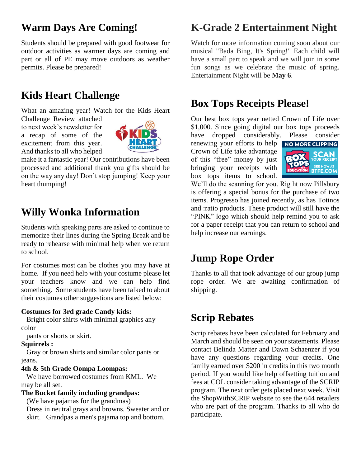### **Warm Days Are Coming!**

Students should be prepared with good footwear for outdoor activities as warmer days are coming and part or all of PE may move outdoors as weather permits. Please be prepared!

# **Kids Heart Challenge**

What an amazing year! Watch for the Kids Heart

Challenge Review attached to next week's newsletter for a recap of some of the excitement from this year. And thanks to all who helped



make it a fantastic year! Our contributions have been processed and additional thank you gifts should be on the way any day! Don't stop jumping! Keep your heart thumping!

# **Willy Wonka Information**

Students with speaking parts are asked to continue to memorize their lines during the Spring Break and be ready to rehearse with minimal help when we return to school.

For costumes most can be clothes you may have at home. If you need help with your costume please let your teachers know and we can help find something. Some students have been talked to about their costumes other suggestions are listed below:

#### **Costumes for 3rd grade Candy kids:**

 Bright color shirts with minimal graphics any color

pants or shorts or skirt.

#### **Squirrels :**

 Gray or brown shirts and similar color pants or jeans.

#### **4th & 5th Grade Oompa Loompas:**

 We have borrowed costumes from KML. We may be all set.

#### **The Bucket family including grandpas:**

 (We have pajamas for the grandmas) Dress in neutral grays and browns. Sweater and or skirt. Grandpas a men's pajama top and bottom.

### **K-Grade 2 Entertainment Night**

Watch for more information coming soon about our musical "Bada Bing, It's Spring!" Each child will have a small part to speak and we will join in some fun songs as we celebrate the music of spring. Entertainment Night will be **May 6**.

### **Box Tops Receipts Please!**

Our best box tops year netted Crown of Life over \$1,000. Since going digital our box tops proceeds have dropped considerably. Please consider

renewing your efforts to help NO MORE CLIPPING Crown of Life take advantage of this "free" money by just bringing your receipts with box tops items to school.



We'll do the scanning for you. Rig ht now Pillsbury is offering a special bonus for the purchase of two items. Progresso has joined recently, as has Totinos and :ratio products. These product will still have the "PINK" logo which should help remind you to ask for a paper receipt that you can return to school and help increase our earnings.

### **Jump Rope Order**

Thanks to all that took advantage of our group jump rope order. We are awaiting confirmation of shipping.

# **Scrip Rebates**

Scrip rebates have been calculated for February and March and should be seen on your statements. Please contact Belinda Matter and Dawn Schaenzer if you have any questions regarding your credits. One family earned over \$200 in credits in this two month period. If you would like help offsetting tuition and fees at COL consider taking advantage of the SCRIP program. The next order gets placed next week. Visit the ShopWithSCRIP website to see the 644 retailers who are part of the program. Thanks to all who do participate.